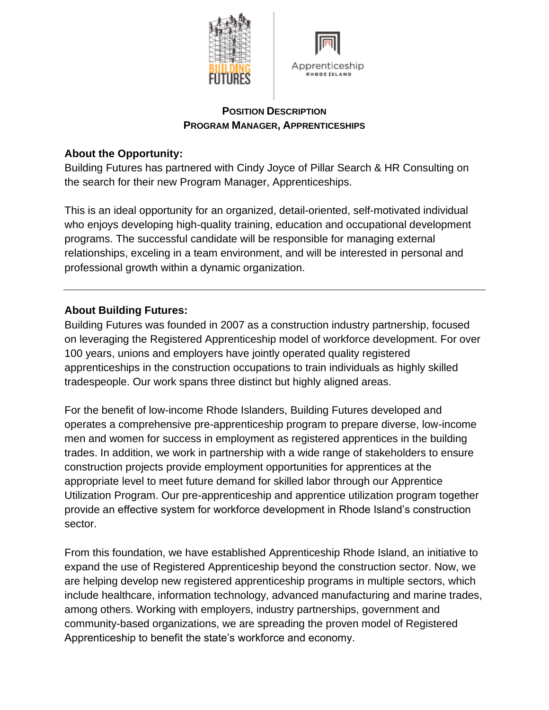



#### **POSITION DESCRIPTION PROGRAM MANAGER, APPRENTICESHIPS**

## **About the Opportunity:**

Building Futures has partnered with Cindy Joyce of Pillar Search & HR Consulting on the search for their new Program Manager, Apprenticeships.

This is an ideal opportunity for an organized, detail-oriented, self-motivated individual who enjoys developing high-quality training, education and occupational development programs. The successful candidate will be responsible for managing external relationships, exceling in a team environment, and will be interested in personal and professional growth within a dynamic organization.

# **About Building Futures:**

Building Futures was founded in 2007 as a construction industry partnership, focused on leveraging the Registered Apprenticeship model of workforce development. For over 100 years, unions and employers have jointly operated quality registered apprenticeships in the construction occupations to train individuals as highly skilled tradespeople. Our work spans three distinct but highly aligned areas.

For the benefit of low-income Rhode Islanders, Building Futures developed and operates a comprehensive pre-apprenticeship program to prepare diverse, low-income men and women for success in employment as registered apprentices in the building trades. In addition, we work in partnership with a wide range of stakeholders to ensure construction projects provide employment opportunities for apprentices at the appropriate level to meet future demand for skilled labor through our Apprentice Utilization Program. Our pre-apprenticeship and apprentice utilization program together provide an effective system for workforce development in Rhode Island's construction sector.

From this foundation, we have established Apprenticeship Rhode Island, an initiative to expand the use of Registered Apprenticeship beyond the construction sector. Now, we are helping develop new registered apprenticeship programs in multiple sectors, which include healthcare, information technology, advanced manufacturing and marine trades, among others. Working with employers, industry partnerships, government and community-based organizations, we are spreading the proven model of Registered Apprenticeship to benefit the state's workforce and economy.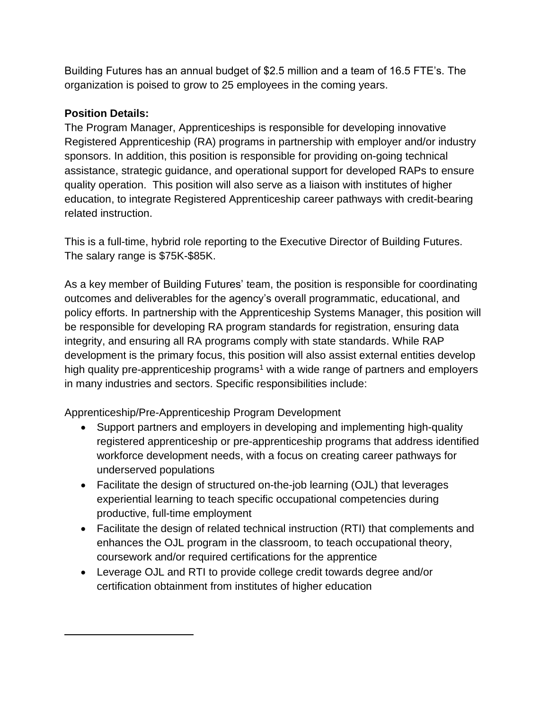Building Futures has an annual budget of \$2.5 million and a team of 16.5 FTE's. The organization is poised to grow to 25 employees in the coming years.

#### **Position Details:**

The Program Manager, Apprenticeships is responsible for developing innovative Registered Apprenticeship (RA) programs in partnership with employer and/or industry sponsors. In addition, this position is responsible for providing on-going technical assistance, strategic guidance, and operational support for developed RAPs to ensure quality operation. This position will also serve as a liaison with institutes of higher education, to integrate Registered Apprenticeship career pathways with credit-bearing related instruction.

This is a full-time, hybrid role reporting to the Executive Director of Building Futures. The salary range is \$75K-\$85K.

As a key member of Building Futures' team, the position is responsible for coordinating outcomes and deliverables for the agency's overall programmatic, educational, and policy efforts. In partnership with the Apprenticeship Systems Manager, this position will be responsible for developing RA program standards for registration, ensuring data integrity, and ensuring all RA programs comply with state standards. While RAP development is the primary focus, this position will also assist external entities develop high quality pre-apprenticeship programs<sup>1</sup> with a wide range of partners and employers in many industries and sectors. Specific responsibilities include:

Apprenticeship/Pre-Apprenticeship Program Development

- Support partners and employers in developing and implementing high-quality registered apprenticeship or pre-apprenticeship programs that address identified workforce development needs, with a focus on creating career pathways for underserved populations
- Facilitate the design of structured on-the-job learning (OJL) that leverages experiential learning to teach specific occupational competencies during productive, full-time employment
- Facilitate the design of related technical instruction (RTI) that complements and enhances the OJL program in the classroom, to teach occupational theory, coursework and/or required certifications for the apprentice
- Leverage OJL and RTI to provide college credit towards degree and/or certification obtainment from institutes of higher education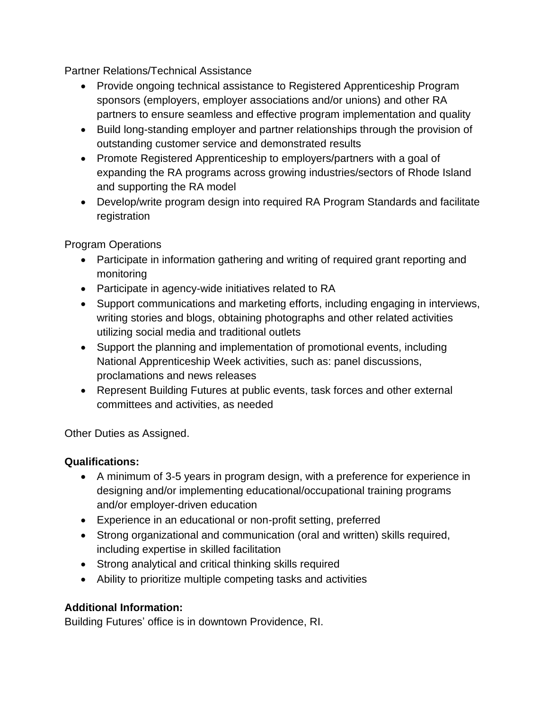Partner Relations/Technical Assistance

- Provide ongoing technical assistance to Registered Apprenticeship Program sponsors (employers, employer associations and/or unions) and other RA partners to ensure seamless and effective program implementation and quality
- Build long-standing employer and partner relationships through the provision of outstanding customer service and demonstrated results
- Promote Registered Apprenticeship to employers/partners with a goal of expanding the RA programs across growing industries/sectors of Rhode Island and supporting the RA model
- Develop/write program design into required RA Program Standards and facilitate registration

Program Operations

- Participate in information gathering and writing of required grant reporting and monitoring
- Participate in agency-wide initiatives related to RA
- Support communications and marketing efforts, including engaging in interviews, writing stories and blogs, obtaining photographs and other related activities utilizing social media and traditional outlets
- Support the planning and implementation of promotional events, including National Apprenticeship Week activities, such as: panel discussions, proclamations and news releases
- Represent Building Futures at public events, task forces and other external committees and activities, as needed

Other Duties as Assigned.

### **Qualifications:**

- A minimum of 3-5 years in program design, with a preference for experience in designing and/or implementing educational/occupational training programs and/or employer-driven education
- Experience in an educational or non-profit setting, preferred
- Strong organizational and communication (oral and written) skills required, including expertise in skilled facilitation
- Strong analytical and critical thinking skills required
- Ability to prioritize multiple competing tasks and activities

### **Additional Information:**

Building Futures' office is in downtown Providence, RI.